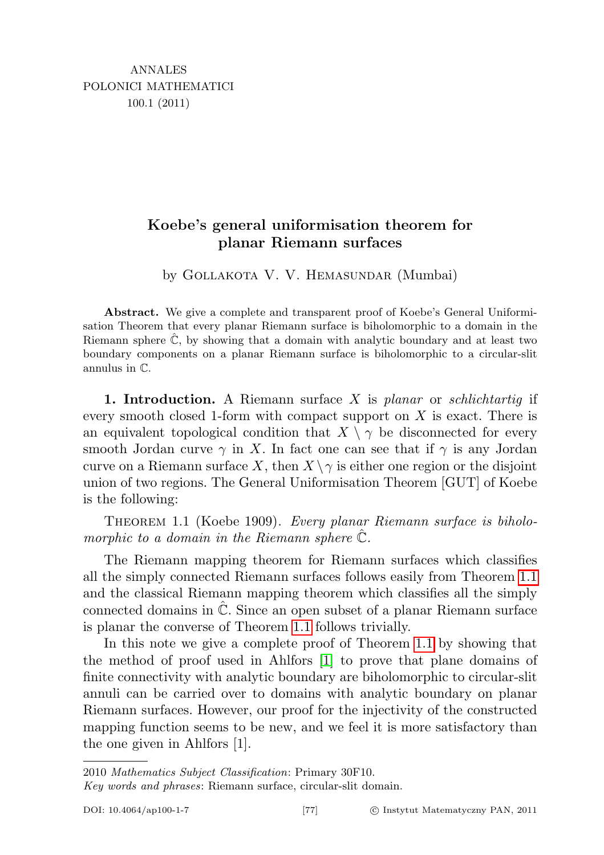## Koebe's general uniformisation theorem for planar Riemann surfaces

by GOLLAKOTA V. V. HEMASUNDAR (Mumbai)

Abstract. We give a complete and transparent proof of Koebe's General Uniformisation Theorem that every planar Riemann surface is biholomorphic to a domain in the Riemann sphere  $\mathbb{C}$ , by showing that a domain with analytic boundary and at least two boundary components on a planar Riemann surface is biholomorphic to a circular-slit annulus in C.

1. Introduction. A Riemann surface  $X$  is planar or schlichtartiq if every smooth closed 1-form with compact support on  $X$  is exact. There is an equivalent topological condition that  $X \setminus \gamma$  be disconnected for every smooth Jordan curve  $\gamma$  in X. In fact one can see that if  $\gamma$  is any Jordan curve on a Riemann surface X, then  $X \setminus \gamma$  is either one region or the disjoint union of two regions. The General Uniformisation Theorem [GUT] of Koebe is the following:

<span id="page-0-0"></span>THEOREM 1.1 (Koebe 1909). Every planar Riemann surface is biholomorphic to a domain in the Riemann sphere  $\mathbb{C}$ .

The Riemann mapping theorem for Riemann surfaces which classifies all the simply connected Riemann surfaces follows easily from Theorem [1.1](#page-0-0) and the classical Riemann mapping theorem which classifies all the simply connected domains in  $\mathbb{C}$ . Since an open subset of a planar Riemann surface is planar the converse of Theorem [1.1](#page-0-0) follows trivially.

In this note we give a complete proof of Theorem [1.1](#page-0-0) by showing that the method of proof used in Ahlfors [\[1\]](#page-7-0) to prove that plane domains of finite connectivity with analytic boundary are biholomorphic to circular-slit annuli can be carried over to domains with analytic boundary on planar Riemann surfaces. However, our proof for the injectivity of the constructed mapping function seems to be new, and we feel it is more satisfactory than the one given in Ahlfors [1].

<sup>2010</sup> Mathematics Subject Classification: Primary 30F10.

Key words and phrases: Riemann surface, circular-slit domain.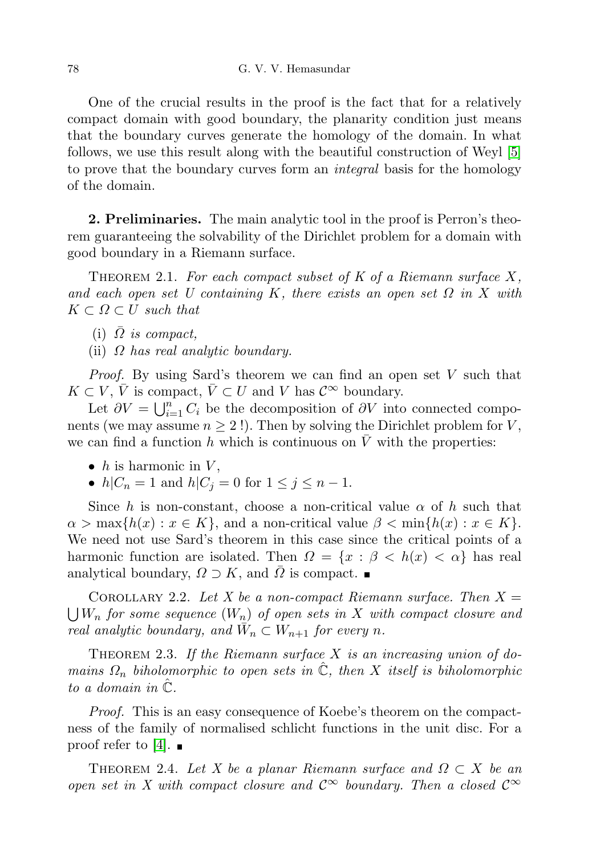One of the crucial results in the proof is the fact that for a relatively compact domain with good boundary, the planarity condition just means that the boundary curves generate the homology of the domain. In what follows, we use this result along with the beautiful construction of Weyl [\[5\]](#page-8-0) to prove that the boundary curves form an integral basis for the homology of the domain.

2. Preliminaries. The main analytic tool in the proof is Perron's theorem guaranteeing the solvability of the Dirichlet problem for a domain with good boundary in a Riemann surface.

<span id="page-1-0"></span>THEOREM 2.1. For each compact subset of  $K$  of a Riemann surface  $X$ , and each open set U containing K, there exists an open set  $\Omega$  in X with  $K \subset \Omega \subset U$  such that

- (i)  $\overline{\Omega}$  is compact,
- (ii)  $\Omega$  has real analytic boundary.

Proof. By using Sard's theorem we can find an open set V such that  $K \subset V, \bar{V}$  is compact,  $\bar{V} \subset U$  and V has  $\mathcal{C}^{\infty}$  boundary.

Let  $\partial V = \bigcup_{i=1}^n C_i$  be the decomposition of  $\partial V$  into connected components (we may assume  $n \geq 2$ !). Then by solving the Dirichlet problem for V, we can find a function h which is continuous on  $\bar{V}$  with the properties:

- h is harmonic in  $V$ ,
- $h|C_n = 1$  and  $h|C_j = 0$  for  $1 \le j \le n 1$ .

Since h is non-constant, choose a non-critical value  $\alpha$  of h such that  $\alpha > \max\{h(x) : x \in K\}$ , and a non-critical value  $\beta < \min\{h(x) : x \in K\}$ . We need not use Sard's theorem in this case since the critical points of a harmonic function are isolated. Then  $\Omega = \{x : \beta < h(x) < \alpha\}$  has real analytical boundary,  $\Omega \supset K$ , and  $\Omega$  is compact.

<span id="page-1-2"></span>COROLLARY 2.2. Let X be a non-compact Riemann surface. Then  $X =$  $\bigcup W_n$  for some sequence  $(W_n)$  of open sets in  $X$  with compact closure and real analytic boundary, and  $\overline{W}_n \subset W_{n+1}$  for every n.

<span id="page-1-1"></span>THEOREM 2.3. If the Riemann surface  $X$  is an increasing union of domains  $\Omega_n$  biholomorphic to open sets in  $\hat{\mathbb{C}}$ , then X itself is biholomorphic to a domain in  $\mathbb{C}$ .

Proof. This is an easy consequence of Koebe's theorem on the compactness of the family of normalised schlicht functions in the unit disc. For a proof refer to [\[4\]](#page-8-1).  $\blacksquare$ 

<span id="page-1-3"></span>THEOREM 2.4. Let X be a planar Riemann surface and  $\Omega \subset X$  be an open set in X with compact closure and  $\mathcal{C}^{\infty}$  boundary. Then a closed  $\mathcal{C}^{\infty}$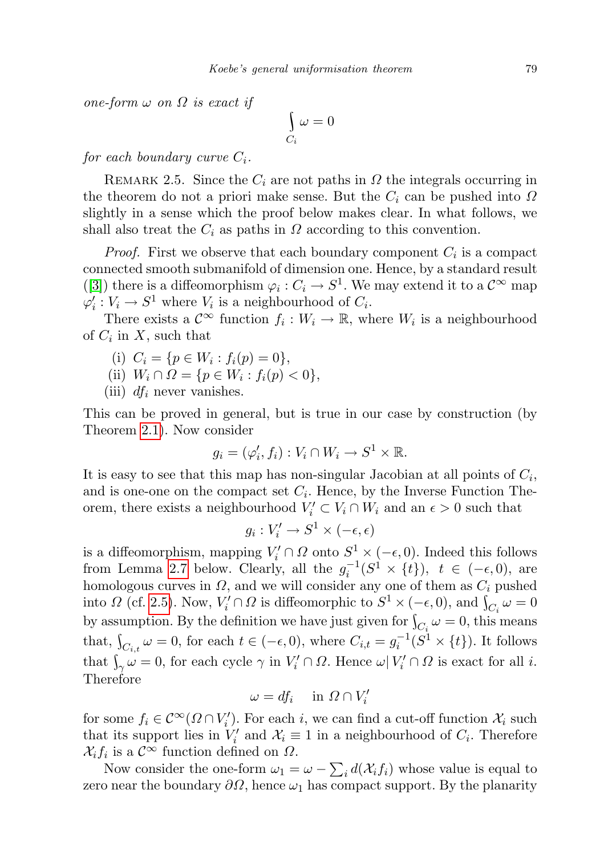one-form  $\omega$  on  $\Omega$  is exact if

$$
\int\limits_{C_i} \omega = 0
$$

for each boundary curve  $C_i$ .

<span id="page-2-0"></span>REMARK 2.5. Since the  $C_i$  are not paths in  $\Omega$  the integrals occurring in the theorem do not a priori make sense. But the  $C_i$  can be pushed into  $\Omega$ slightly in a sense which the proof below makes clear. In what follows, we shall also treat the  $C_i$  as paths in  $\Omega$  according to this convention.

*Proof.* First we observe that each boundary component  $C_i$  is a compact connected smooth submanifold of dimension one. Hence, by a standard result ([\[3\]](#page-8-2)) there is a diffeomorphism  $\varphi_i: C_i \to S^1$ . We may extend it to a  $\mathcal{C}^{\infty}$  map  $\varphi_i' : V_i \to S^1$  where  $V_i$  is a neighbourhood of  $C_i$ .

There exists a  $\mathcal{C}^{\infty}$  function  $f_i: W_i \to \mathbb{R}$ , where  $W_i$  is a neighbourhood of  $C_i$  in  $X$ , such that

- (i)  $C_i = \{p \in W_i : f_i(p) = 0\},\$
- (ii)  $W_i \cap \Omega = \{ p \in W_i : f_i(p) < 0 \},\$
- (iii)  $df_i$  never vanishes.

This can be proved in general, but is true in our case by construction (by Theorem [2.1\)](#page-1-0). Now consider

$$
g_i = (\varphi_i', f_i) : V_i \cap W_i \to S^1 \times \mathbb{R}.
$$

It is easy to see that this map has non-singular Jacobian at all points of  $C_i$ , and is one-one on the compact set  $C_i$ . Hence, by the Inverse Function Theorem, there exists a neighbourhood  $V_i' \subset V_i \cap W_i$  and an  $\epsilon > 0$  such that

$$
g_i: V'_i \to S^1 \times (-\epsilon, \epsilon)
$$

is a diffeomorphism, mapping  $V_i' \cap \Omega$  onto  $S^1 \times (-\epsilon, 0)$ . Indeed this follows from Lemma [2.7](#page-3-0) below. Clearly, all the  $g_i^{-1}(S^1 \times \{t\})$ ,  $t \in (-\epsilon, 0)$ , are homologous curves in  $\Omega$ , and we will consider any one of them as  $C_i$  pushed into  $\Omega$  (cf. [2.5\)](#page-2-0). Now,  $V_i' \cap \Omega$  is diffeomorphic to  $S^1 \times (-\epsilon, 0)$ , and  $\int_{C_i} \omega = 0$ by assumption. By the definition we have just given for  $\int_{C_i} \omega = 0$ , this means that,  $\int_{C_{i,t}} \omega = 0$ , for each  $t \in (-\epsilon, 0)$ , where  $C_{i,t} = g_i^{-1}(S^1 \times \{t\})$ . It follows that  $\int_{\gamma} \omega = 0$ , for each cycle  $\gamma$  in  $V_i' \cap \Omega$ . Hence  $\omega | V_i' \cap \Omega$  is exact for all *i*. Therefore

$$
\omega = df_i \quad \text{in } \Omega \cap V'_i
$$

for some  $f_i \in C^{\infty}(\Omega \cap V'_i)$ . For each *i*, we can find a cut-off function  $\mathcal{X}_i$  such that its support lies in  $V_i'$  and  $\mathcal{X}_i \equiv 1$  in a neighbourhood of  $C_i$ . Therefore  $\mathcal{X}_i f_i$  is a  $\mathcal{C}^{\infty}$  function defined on  $\Omega$ .

Now consider the one-form  $\omega_1 = \omega - \sum_i d(\mathcal{X}_i f_i)$  whose value is equal to zero near the boundary  $\partial\Omega$ , hence  $\omega_1$  has compact support. By the planarity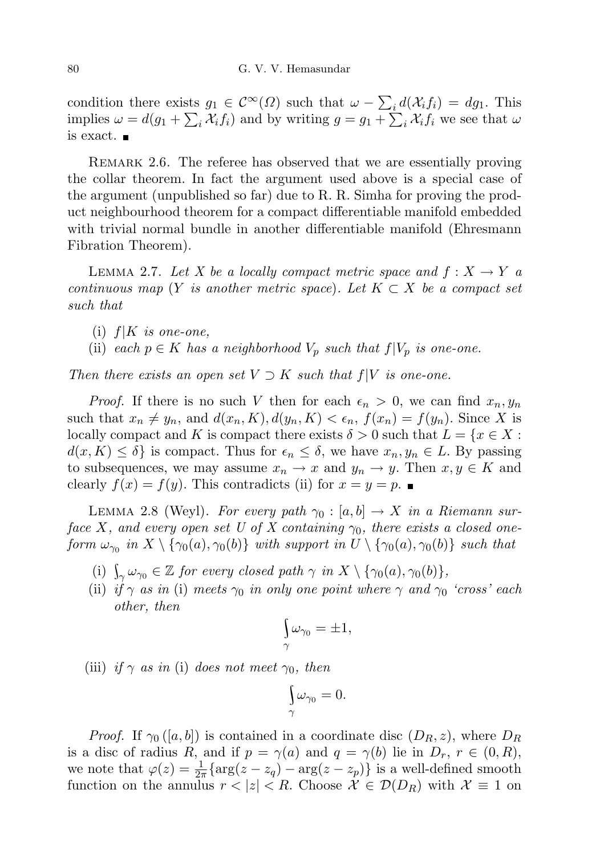condition there exists  $g_1 \in \mathcal{C}^{\infty}(\Omega)$  such that  $\omega - \sum_i d(\mathcal{X}_i f_i) = dg_1$ . This implies  $\omega = d(g_1 + \sum_i \chi_i f_i)$  and by writing  $g = g_1 + \sum_i \chi_i f_i$  we see that  $\omega$ is exact.

REMARK 2.6. The referee has observed that we are essentially proving the collar theorem. In fact the argument used above is a special case of the argument (unpublished so far) due to R. R. Simha for proving the product neighbourhood theorem for a compact differentiable manifold embedded with trivial normal bundle in another differentiable manifold (Ehresmann Fibration Theorem).

<span id="page-3-0"></span>LEMMA 2.7. Let X be a locally compact metric space and  $f: X \to Y$  a continuous map (Y is another metric space). Let  $K \subset X$  be a compact set such that

- (i)  $f|K$  is one-one,
- (ii) each  $p \in K$  has a neighborhood  $V_p$  such that  $f|V_p$  is one-one.

Then there exists an open set  $V \supset K$  such that  $f|V$  is one-one.

*Proof.* If there is no such V then for each  $\epsilon_n > 0$ , we can find  $x_n, y_n$ such that  $x_n \neq y_n$ , and  $d(x_n, K), d(y_n, K) < \epsilon_n$ ,  $f(x_n) = f(y_n)$ . Since X is locally compact and K is compact there exists  $\delta > 0$  such that  $L = \{x \in X :$  $d(x, K) \leq \delta$  is compact. Thus for  $\epsilon_n \leq \delta$ , we have  $x_n, y_n \in L$ . By passing to subsequences, we may assume  $x_n \to x$  and  $y_n \to y$ . Then  $x, y \in K$  and clearly  $f(x) = f(y)$ . This contradicts (ii) for  $x = y = p$ .

<span id="page-3-1"></span>LEMMA 2.8 (Weyl). For every path  $\gamma_0 : [a, b] \to X$  in a Riemann surface X, and every open set U of X containing  $\gamma_0$ , there exists a closed oneform  $\omega_{\gamma_0}$  in  $X \setminus {\gamma_0(a), \gamma_0(b)}$  with support in  $U \setminus {\gamma_0(a), \gamma_0(b)}$  such that

- (i)  $\int_{\gamma} \omega_{\gamma_0} \in \mathbb{Z}$  for every closed path  $\gamma$  in  $X \setminus {\gamma_0(a), \gamma_0(b)},$
- (ii) if  $\gamma$  as in (i) meets  $\gamma_0$  in only one point where  $\gamma$  and  $\gamma_0$  'cross' each other, then

$$
\int\limits_{\gamma} \omega_{\gamma_0} = \pm 1,
$$

(iii) if  $\gamma$  as in (i) does not meet  $\gamma_0$ , then

$$
\int_{\gamma} \omega_{\gamma_0} = 0.
$$

*Proof.* If  $\gamma_0$  ([a, b]) is contained in a coordinate disc ( $D_R$ , z), where  $D_R$ is a disc of radius R, and if  $p = \gamma(a)$  and  $q = \gamma(b)$  lie in  $D_r$ ,  $r \in (0, R)$ , we note that  $\varphi(z) = \frac{1}{2\pi} \{ \arg(z - z_q) - \arg(z - z_p) \}$  is a well-defined smooth function on the annulus  $r < |z| < R$ . Choose  $\mathcal{X} \in \mathcal{D}(D_R)$  with  $\mathcal{X} \equiv 1$  on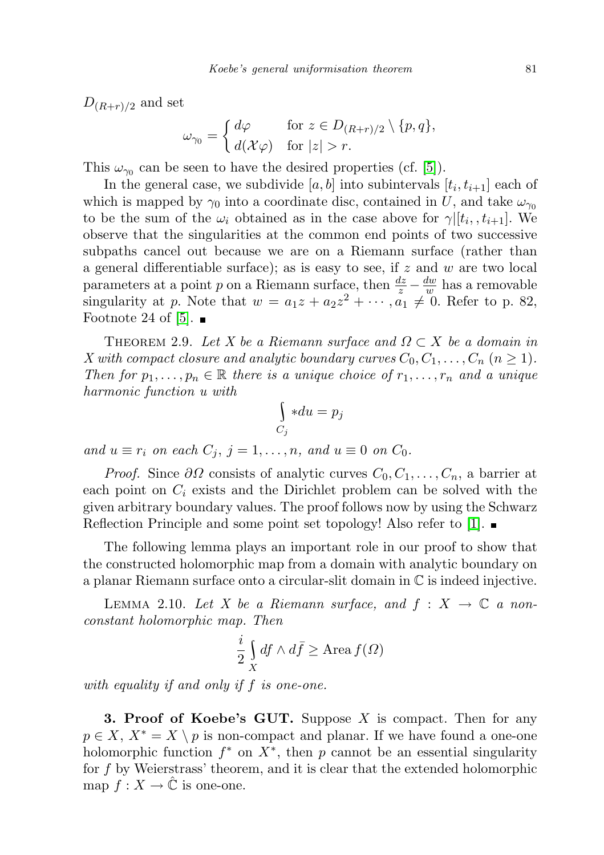$D_{(R+r)/2}$  and set

$$
\omega_{\gamma_0} = \begin{cases} d\varphi & \text{for } z \in D_{(R+r)/2} \setminus \{p, q\}, \\ d(\mathcal{X}\varphi) & \text{for } |z| > r. \end{cases}
$$

This  $\omega_{\gamma_0}$  can be seen to have the desired properties (cf. [\[5\]](#page-8-0)).

In the general case, we subdivide  $[a, b]$  into subintervals  $[t_i, t_{i+1}]$  each of which is mapped by  $\gamma_0$  into a coordinate disc, contained in U, and take  $\omega_{\gamma_0}$ to be the sum of the  $\omega_i$  obtained as in the case above for  $\gamma|[t_i, t_{i+1}]$ . We observe that the singularities at the common end points of two successive subpaths cancel out because we are on a Riemann surface (rather than a general differentiable surface); as is easy to see, if  $z$  and  $w$  are two local parameters at a point p on a Riemann surface, then  $\frac{dz}{z} - \frac{dw}{w}$  $\frac{dw}{w}$  has a removable singularity at p. Note that  $w = a_1 z + a_2 z^2 + \cdots$ ,  $a_1 \neq 0$ . Refer to p. 82, Footnote 24 of [\[5\]](#page-8-0).  $\blacksquare$ 

THEOREM 2.9. Let X be a Riemann surface and  $\Omega \subset X$  be a domain in X with compact closure and analytic boundary curves  $C_0, C_1, \ldots, C_n$   $(n \geq 1)$ . Then for  $p_1, \ldots, p_n \in \mathbb{R}$  there is a unique choice of  $r_1, \ldots, r_n$  and a unique harmonic function u with

$$
\int_{C_j} * du = p_j
$$

and  $u \equiv r_i$  on each  $C_j$ ,  $j = 1, \ldots, n$ , and  $u \equiv 0$  on  $C_0$ .

*Proof.* Since  $\partial\Omega$  consists of analytic curves  $C_0, C_1, \ldots, C_n$ , a barrier at each point on  $C_i$  exists and the Dirichlet problem can be solved with the given arbitrary boundary values. The proof follows now by using the Schwarz Reflection Principle and some point set topology! Also refer to [\[1\]](#page-7-0).  $\blacksquare$ 

The following lemma plays an important role in our proof to show that the constructed holomorphic map from a domain with analytic boundary on a planar Riemann surface onto a circular-slit domain in C is indeed injective.

<span id="page-4-0"></span>LEMMA 2.10. Let X be a Riemann surface, and  $f: X \to \mathbb{C}$  a nonconstant holomorphic map. Then

$$
\frac{i}{2} \int\limits_X df \wedge d\bar{f} \ge \text{Area } f(\Omega)
$$

with equality if and only if f is one-one.

**3. Proof of Koebe's GUT.** Suppose  $X$  is compact. Then for any  $p \in X$ ,  $X^* = X \setminus p$  is non-compact and planar. If we have found a one-one holomorphic function  $f^*$  on  $X^*$ , then p cannot be an essential singularity for f by Weierstrass' theorem, and it is clear that the extended holomorphic map  $f: X \to \mathbb{C}$  is one-one.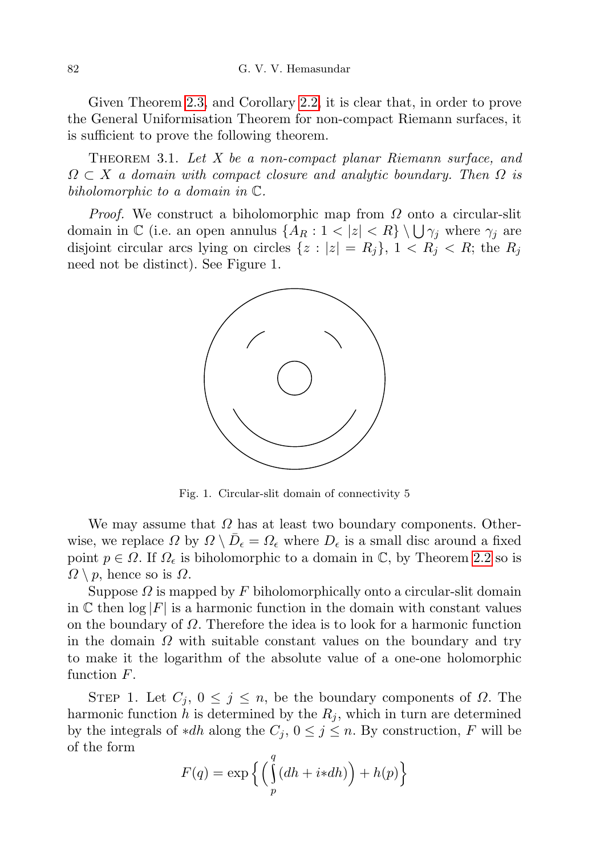Given Theorem [2.3,](#page-1-1) and Corollary [2.2,](#page-1-2) it is clear that, in order to prove the General Uniformisation Theorem for non-compact Riemann surfaces, it is sufficient to prove the following theorem.

THEOREM 3.1. Let X be a non-compact planar Riemann surface, and  $\Omega \subset X$  a domain with compact closure and analytic boundary. Then  $\Omega$  is biholomorphic to a domain in C.

*Proof.* We construct a biholomorphic map from  $\Omega$  onto a circular-slit domain in  $\mathbb C$  (i.e. an open annulus  $\{A_R: 1 < |z| < R\} \setminus \bigcup \gamma_j$  where  $\gamma_j$  are disjoint circular arcs lying on circles  $\{z : |z| = R_i\}, 1 < R_i < R$ ; the  $R_i$ need not be distinct). See Figure 1.



Fig. 1. Circular-slit domain of connectivity 5

We may assume that  $\Omega$  has at least two boundary components. Otherwise, we replace  $\Omega$  by  $\Omega \setminus \overline{D}_{\epsilon} = \Omega_{\epsilon}$  where  $D_{\epsilon}$  is a small disc around a fixed point  $p \in \Omega$ . If  $\Omega_{\epsilon}$  is biholomorphic to a domain in C, by Theorem [2.2](#page-1-2) so is  $\Omega \setminus p$ , hence so is  $\Omega$ .

Suppose  $\Omega$  is mapped by F biholomorphically onto a circular-slit domain in C then  $\log |F|$  is a harmonic function in the domain with constant values on the boundary of  $\Omega$ . Therefore the idea is to look for a harmonic function in the domain  $\Omega$  with suitable constant values on the boundary and try to make it the logarithm of the absolute value of a one-one holomorphic function F.

STEP 1. Let  $C_j$ ,  $0 \leq j \leq n$ , be the boundary components of  $\Omega$ . The harmonic function h is determined by the  $R_i$ , which in turn are determined by the integrals of \*dh along the  $C_j$ ,  $0 \leq j \leq n$ . By construction, F will be of the form

$$
F(q) = \exp\left\{ \left( \int\limits_p^q (dh + i * dh) \right) + h(p) \right\}
$$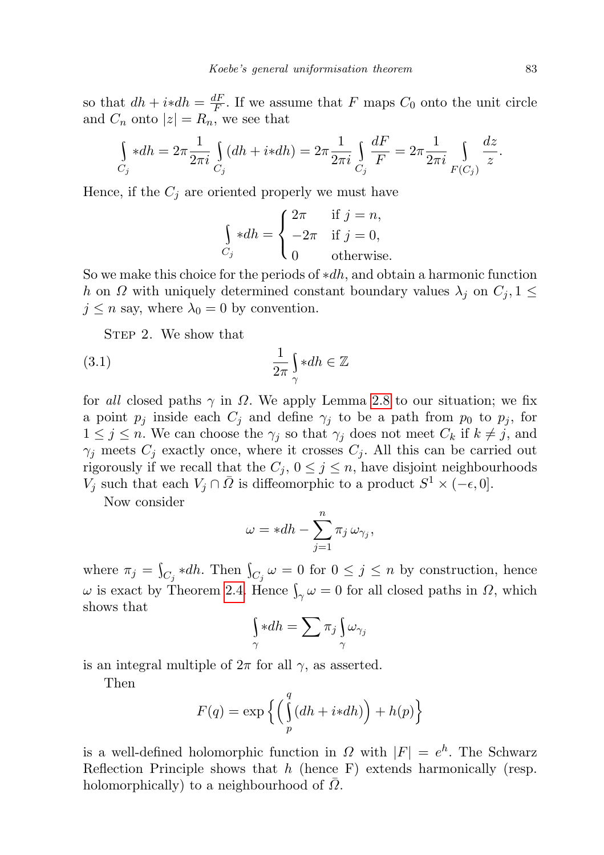so that  $dh + i * dh = \frac{dF}{dF}$  $\frac{dF}{dF}$ . If we assume that F maps  $C_0$  onto the unit circle and  $C_n$  onto  $|z|=R_n$ , we see that

$$
\int_{C_j} *dh = 2\pi \frac{1}{2\pi i} \int_{C_j} (dh + i *dh) = 2\pi \frac{1}{2\pi i} \int_{C_j} \frac{dF}{F} = 2\pi \frac{1}{2\pi i} \int_{F(C_j)} \frac{dz}{z}.
$$

Hence, if the  $C_j$  are oriented properly we must have

<span id="page-6-0"></span>
$$
\int_{C_j} *dh = \begin{cases} 2\pi & \text{if } j = n, \\ -2\pi & \text{if } j = 0, \\ 0 & \text{otherwise.} \end{cases}
$$

So we make this choice for the periods of  $*dh$ , and obtain a harmonic function h on  $\Omega$  with uniquely determined constant boundary values  $\lambda_j$  on  $C_j$ ,  $1 \leq$  $j \leq n$  say, where  $\lambda_0 = 0$  by convention.

STEP 2. We show that

$$
\frac{1}{2\pi} \int_{\gamma} *dh \in \mathbb{Z}
$$

for all closed paths  $\gamma$  in  $\Omega$ . We apply Lemma [2.8](#page-3-1) to our situation; we fix a point  $p_j$  inside each  $C_j$  and define  $\gamma_j$  to be a path from  $p_0$  to  $p_j$ , for  $1 \leq j \leq n$ . We can choose the  $\gamma_j$  so that  $\gamma_j$  does not meet  $C_k$  if  $k \neq j$ , and  $\gamma_i$  meets  $C_i$  exactly once, where it crosses  $C_i$ . All this can be carried out rigorously if we recall that the  $C_j$ ,  $0 \leq j \leq n$ , have disjoint neighbourhoods  $V_j$  such that each  $V_j \cap \bar{\Omega}$  is diffeomorphic to a product  $S^1 \times (-\epsilon, 0]$ .

Now consider

$$
\omega = *dh - \sum_{j=1}^{n} \pi_j \,\omega_{\gamma_j},
$$

where  $\pi_j = \int_{C_j} *dh$ . Then  $\int_{C_j} \omega = 0$  for  $0 \leq j \leq n$  by construction, hence  $\omega$  is exact by Theorem [2.4.](#page-1-3) Hence  $\int_{\gamma} \omega = 0$  for all closed paths in  $\Omega$ , which shows that

$$
\int\limits_{\gamma}\ast dh=\sum\pi_j\int\limits_{\gamma}\omega_{\gamma_j}
$$

is an integral multiple of  $2\pi$  for all  $\gamma$ , as asserted.

Then

$$
F(q) = \exp\left\{ \left( \int\limits_p^q (dh + i * dh) \right) + h(p) \right\}
$$

is a well-defined holomorphic function in  $\Omega$  with  $|F| = e^{h}$ . The Schwarz Reflection Principle shows that  $h$  (hence F) extends harmonically (resp. holomorphically) to a neighbourhood of  $\Omega$ .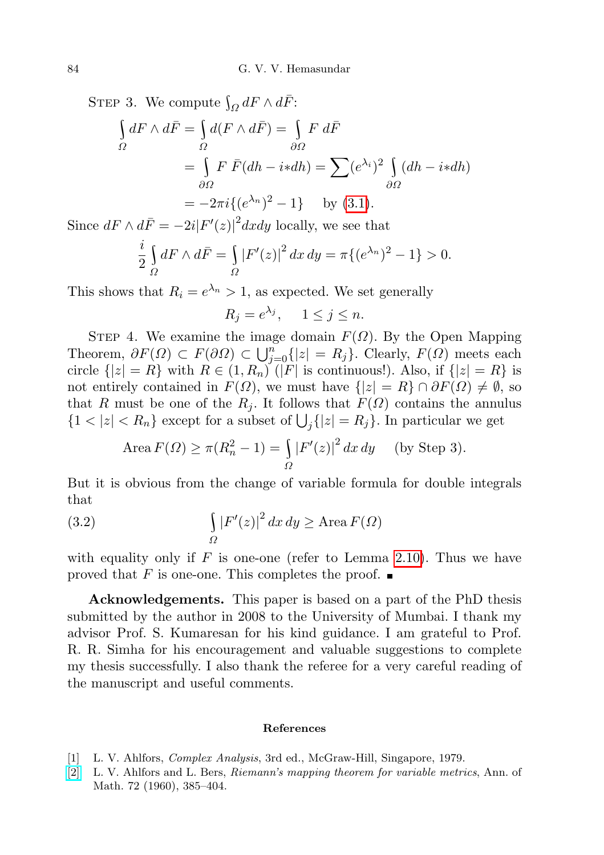STEP 3. We compute  $\int_{\Omega} dF \wedge d\overline{F}$ : Ω ſ Ω  $dF \wedge d\bar{F} = \begin{cases}$ Ω  $d(F \wedge d\bar{F}) = \begin{bmatrix}$ ∂Ω  $F$   $d\bar{F}$  $=$   $\left\{$ ∂Ω  $F \bar{F}(dh - i * dh) = \sum (e^{\lambda_i})^2$ ∂Ω  $(dh - i * dh)$  $=-2\pi i\{(e^{\lambda_n})^2-1\}$  by [\(3.1\)](#page-6-0).

Since  $dF \wedge d\bar{F} = -2i|F'(z)|^2 dx dy$  locally, we see that

$$
\frac{i}{2} \int_{\Omega} dF \wedge d\bar{F} = \int_{\Omega} |F'(z)|^2 dx dy = \pi \{ (e^{\lambda_n})^2 - 1 \} > 0.
$$

This shows that  $R_i = e^{\lambda_n} > 1$ , as expected. We set generally

 $R_j = e^{\lambda_j}, \quad 1 \le j \le n.$ 

STEP 4. We examine the image domain  $F(\Omega)$ . By the Open Mapping Theorem,  $\partial F(\Omega) \subset F(\partial \Omega) \subset \bigcup_{j=0}^n \{|z| = R_j\}$ . Clearly,  $F(\Omega)$  meets each circle  $\{|z|=R\}$  with  $R \in (1, R_n)$  (|F| is continuous!). Also, if  $\{|z|=R\}$  is not entirely contained in  $F(\Omega)$ , we must have  $\{|z|=R\}\cap \partial F(\Omega)\neq \emptyset$ , so that R must be one of the  $R_j$ . It follows that  $F(\Omega)$  contains the annulus  $\{1 < |z| < R_n\}$  except for a subset of  $\bigcup_j \{|z| = R_j\}$ . In particular we get

$$
\text{Area}\,F(\Omega) \ge \pi (R_n^2 - 1) = \int_{\Omega} |F'(z)|^2 \, dx \, dy \quad \text{(by Step 3)}.
$$

But it is obvious from the change of variable formula for double integrals that

(3.2) 
$$
\int_{\Omega} |F'(z)|^2 dx dy \geq \text{Area } F(\Omega)
$$

with equality only if  $F$  is one-one (refer to Lemma [2.10\)](#page-4-0). Thus we have proved that F is one-one. This completes the proof.  $\blacksquare$ 

Acknowledgements. This paper is based on a part of the PhD thesis submitted by the author in 2008 to the University of Mumbai. I thank my advisor Prof. S. Kumaresan for his kind guidance. I am grateful to Prof. R. R. Simha for his encouragement and valuable suggestions to complete my thesis successfully. I also thank the referee for a very careful reading of the manuscript and useful comments.

## References

- <span id="page-7-0"></span>[1] L. V. Ahlfors, Complex Analysis, 3rd ed., McGraw-Hill, Singapore, 1979.
- [\[2\]](http://dx.doi.org/10.2307/1970141) L. V. Ahlfors and L. Bers, Riemann's mapping theorem for variable metrics, Ann. of Math. 72 (1960), 385–404.